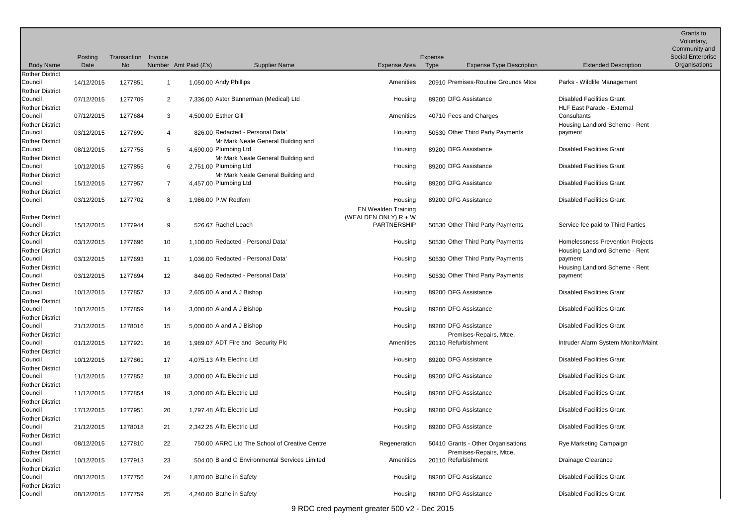|                                                             |                 |                   |                   |                            |                                                                        |                                       |                 |                                                               |                                                                       | Grants to<br>Voluntary,<br>Community and |
|-------------------------------------------------------------|-----------------|-------------------|-------------------|----------------------------|------------------------------------------------------------------------|---------------------------------------|-----------------|---------------------------------------------------------------|-----------------------------------------------------------------------|------------------------------------------|
| <b>Body Name</b>                                            | Posting<br>Date | Transaction<br>No | Invoice           | Number Amt Paid (£'s)      | <b>Supplier Name</b>                                                   | Expense Area                          | Expense<br>Type | <b>Expense Type Description</b>                               | <b>Extended Description</b>                                           | Social Enterprise<br>Organisations       |
| <b>Rother District</b>                                      |                 |                   |                   |                            |                                                                        |                                       |                 |                                                               |                                                                       |                                          |
| Council<br><b>Rother District</b>                           | 14/12/2015      | 1277851           |                   | 1,050.00 Andy Phillips     |                                                                        | Amenities                             |                 | 20910 Premises-Routine Grounds Mtce                           | Parks - Wildlife Management                                           |                                          |
| Council<br><b>Rother District</b>                           | 07/12/2015      | 1277709           | 2                 |                            | 7,336.00 Astor Bannerman (Medical) Ltd                                 | Housing                               |                 | 89200 DFG Assistance                                          | <b>Disabled Facilities Grant</b><br><b>HLF East Parade - External</b> |                                          |
| Council<br><b>Rother District</b>                           | 07/12/2015      | 1277684           | 3                 | 4,500.00 Esther Gill       |                                                                        | Amenities                             |                 | 40710 Fees and Charges                                        | Consultants<br>Housing Landlord Scheme - Rent                         |                                          |
| Council<br><b>Rother District</b>                           | 03/12/2015      | 1277690           | 4                 |                            | 826.00 Redacted - Personal Data'<br>Mr Mark Neale General Building and | Housing                               |                 | 50530 Other Third Party Payments                              | payment                                                               |                                          |
| Council<br><b>Rother District</b>                           | 08/12/2015      | 1277758           | 5                 | 4,690.00 Plumbing Ltd      | Mr Mark Neale General Building and                                     | Housing                               |                 | 89200 DFG Assistance                                          | <b>Disabled Facilities Grant</b>                                      |                                          |
| Council<br><b>Rother District</b>                           | 10/12/2015      | 1277855           | 6                 | 2.751.00 Plumbing Ltd      | Mr Mark Neale General Building and                                     | Housing                               |                 | 89200 DFG Assistance                                          | <b>Disabled Facilities Grant</b>                                      |                                          |
| Council<br><b>Rother District</b>                           | 15/12/2015      | 1277957           | $\overline{7}$    | 4,457.00 Plumbing Ltd      |                                                                        | Housing                               |                 | 89200 DFG Assistance                                          | <b>Disabled Facilities Grant</b>                                      |                                          |
| Council                                                     | 03/12/2015      | 1277702           | 8                 | 1.986.00 P.W Redfern       |                                                                        | Housing<br><b>EN Wealden Training</b> |                 | 89200 DFG Assistance                                          | <b>Disabled Facilities Grant</b>                                      |                                          |
| <b>Rother District</b><br>Council<br><b>Rother District</b> | 15/12/2015      | 1277944           | 9                 | 526.67 Rachel Leach        |                                                                        | (WEALDEN ONLY) R + W<br>PARTNERSHIP   |                 | 50530 Other Third Party Payments                              | Service fee paid to Third Parties                                     |                                          |
| Council<br><b>Rother District</b>                           | 03/12/2015      | 1277696           | 10                |                            | 1,100.00 Redacted - Personal Data'                                     | Housing                               |                 | 50530 Other Third Party Payments                              | Homelessness Prevention Projects<br>Housing Landlord Scheme - Rent    |                                          |
| Council<br><b>Rother District</b>                           | 03/12/2015      | 1277693           | 11                |                            | 1.036.00 Redacted - Personal Data'                                     | Housing                               |                 | 50530 Other Third Party Payments                              | payment<br>Housing Landlord Scheme - Rent                             |                                          |
| Council<br><b>Rother District</b>                           | 03/12/2015      | 1277694           | $12 \overline{ }$ |                            | 846.00 Redacted - Personal Data'                                       | Housing                               |                 | 50530 Other Third Party Payments                              | payment                                                               |                                          |
| Council<br><b>Rother District</b>                           | 10/12/2015      | 1277857           | 13                | 2,605.00 A and A J Bishop  |                                                                        | Housing                               |                 | 89200 DFG Assistance                                          | <b>Disabled Facilities Grant</b>                                      |                                          |
| Council<br><b>Rother District</b>                           | 10/12/2015      | 1277859           | 14                | 3,000.00 A and A J Bishop  |                                                                        | Housing                               |                 | 89200 DFG Assistance                                          | <b>Disabled Facilities Grant</b>                                      |                                          |
| Council<br><b>Rother District</b>                           | 21/12/2015      | 1278016           | 15                | 5,000.00 A and A J Bishop  |                                                                        | Housing                               |                 | 89200 DFG Assistance<br>Premises-Repairs, Mtce,               | <b>Disabled Facilities Grant</b>                                      |                                          |
| Council<br><b>Rother District</b>                           | 01/12/2015      | 1277921           | 16                |                            | 1,989.07 ADT Fire and Security Plc                                     | Amenities                             |                 | 20110 Refurbishment                                           | Intruder Alarm System Monitor/Maint                                   |                                          |
| Council<br><b>Rother District</b>                           | 10/12/2015      | 1277861           | 17                | 4.075.13 Alfa Electric Ltd |                                                                        | Housing                               |                 | 89200 DFG Assistance                                          | <b>Disabled Facilities Grant</b>                                      |                                          |
| Council<br><b>Rother District</b>                           | 11/12/2015      | 1277852           | 18                | 3,000.00 Alfa Electric Ltd |                                                                        | Housing                               |                 | 89200 DFG Assistance                                          | <b>Disabled Facilities Grant</b>                                      |                                          |
| Council<br><b>Rother District</b>                           | 11/12/2015      | 1277854           | 19                | 3,000.00 Alfa Electric Ltd |                                                                        | Housing                               |                 | 89200 DFG Assistance                                          | <b>Disabled Facilities Grant</b>                                      |                                          |
| Council<br><b>Rother District</b>                           | 17/12/2015      | 1277951           | 20                | 1.797.48 Alfa Electric Ltd |                                                                        | Housing                               |                 | 89200 DFG Assistance                                          | <b>Disabled Facilities Grant</b>                                      |                                          |
| Council<br><b>Rother District</b>                           | 21/12/2015      | 1278018           | 21                | 2,342.26 Alfa Electric Ltd |                                                                        | Housing                               |                 | 89200 DFG Assistance                                          | <b>Disabled Facilities Grant</b>                                      |                                          |
| Council<br><b>Rother District</b>                           | 08/12/2015      | 1277810           | 22                |                            | 750.00 ARRC Ltd The School of Creative Centre                          | Regeneration                          |                 | 50410 Grants - Other Organisations<br>Premises-Repairs, Mtce, | Rye Marketing Campaign                                                |                                          |
| Council<br><b>Rother District</b>                           | 10/12/2015      | 1277913           | 23                |                            | 504.00 B and G Environmental Services Limited                          | Amenities                             |                 | 20110 Refurbishment                                           | Drainage Clearance                                                    |                                          |
| Council<br><b>Rother District</b>                           | 08/12/2015      | 1277756           | 24                | 1,870.00 Bathe in Safety   |                                                                        | Housing                               |                 | 89200 DFG Assistance                                          | <b>Disabled Facilities Grant</b>                                      |                                          |
| Council                                                     | 08/12/2015      | 1277759           | 25                | 4,240.00 Bathe in Safety   |                                                                        | Housing                               |                 | 89200 DFG Assistance                                          | <b>Disabled Facilities Grant</b>                                      |                                          |

9 RDC cred payment greater 500 v2 - Dec 2015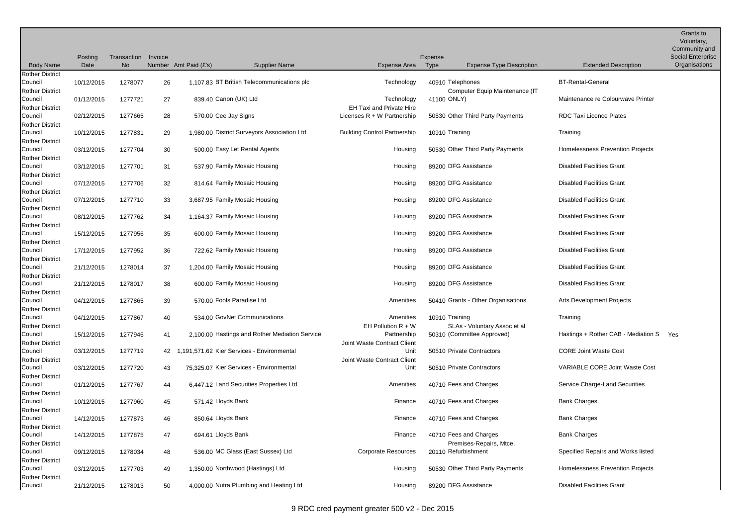|                                   |                 |                          |         |                                                |                                                                 |                                                            |                                       | <b>Grants to</b><br>Voluntary,<br>Community and |
|-----------------------------------|-----------------|--------------------------|---------|------------------------------------------------|-----------------------------------------------------------------|------------------------------------------------------------|---------------------------------------|-------------------------------------------------|
| <b>Body Name</b>                  | Posting<br>Date | Transaction<br><b>No</b> | Invoice | Number Amt Paid (£'s)<br><b>Supplier Name</b>  | Expense Area                                                    | Expense<br>Type<br><b>Expense Type Description</b>         | <b>Extended Description</b>           | Social Enterprise<br>Organisations              |
| <b>Rother District</b>            |                 |                          |         |                                                |                                                                 |                                                            |                                       |                                                 |
| Council<br><b>Rother District</b> | 10/12/2015      | 1278077                  | 26      | 1.107.83 BT British Telecommunications plc     | Technology                                                      | 40910 Telephones<br>Computer Equip Maintenance (IT         | <b>BT-Rental-General</b>              |                                                 |
| Council                           | 01/12/2015      | 1277721                  | 27      | 839.40 Canon (UK) Ltd                          | Technology                                                      | 41100 ONLY)                                                | Maintenance re Colourwave Printer     |                                                 |
| <b>Rother District</b><br>Council | 02/12/2015      | 1277665                  | 28      | 570.00 Cee Jay Signs                           | <b>EH Taxi and Private Hire</b><br>Licenses $R + W$ Partnership | 50530 Other Third Party Payments                           | <b>RDC Taxi Licence Plates</b>        |                                                 |
| <b>Rother District</b><br>Council | 10/12/2015      | 1277831                  | 29      | 1,980.00 District Surveyors Association Ltd    | <b>Building Control Partnership</b>                             | 10910 Training                                             | Training                              |                                                 |
| <b>Rother District</b><br>Council | 03/12/2015      | 1277704                  | 30      | 500.00 Easy Let Rental Agents                  | Housing                                                         | 50530 Other Third Party Payments                           | Homelessness Prevention Projects      |                                                 |
| <b>Rother District</b><br>Council | 03/12/2015      | 1277701                  | 31      | 537.90 Family Mosaic Housing                   | Housing                                                         | 89200 DFG Assistance                                       | <b>Disabled Facilities Grant</b>      |                                                 |
| <b>Rother District</b><br>Council | 07/12/2015      | 1277706                  | 32      | 814.64 Family Mosaic Housing                   | Housing                                                         | 89200 DFG Assistance                                       | <b>Disabled Facilities Grant</b>      |                                                 |
| <b>Rother District</b><br>Council | 07/12/2015      | 1277710                  | 33      | 3,687.95 Family Mosaic Housing                 | Housing                                                         | 89200 DFG Assistance                                       | <b>Disabled Facilities Grant</b>      |                                                 |
| <b>Rother District</b><br>Council | 08/12/2015      | 1277762                  | 34      | 1,164.37 Family Mosaic Housing                 | Housing                                                         | 89200 DFG Assistance                                       | <b>Disabled Facilities Grant</b>      |                                                 |
| <b>Rother District</b><br>Council | 15/12/2015      | 1277956                  | 35      | 600.00 Family Mosaic Housing                   | Housing                                                         | 89200 DFG Assistance                                       | <b>Disabled Facilities Grant</b>      |                                                 |
| <b>Rother District</b><br>Council | 17/12/2015      | 1277952                  | 36      | 722.62 Family Mosaic Housing                   | Housing                                                         | 89200 DFG Assistance                                       | <b>Disabled Facilities Grant</b>      |                                                 |
| <b>Rother District</b><br>Council | 21/12/2015      | 1278014                  | 37      | 1,204.00 Family Mosaic Housing                 | Housing                                                         | 89200 DFG Assistance                                       | <b>Disabled Facilities Grant</b>      |                                                 |
| <b>Rother District</b><br>Council | 21/12/2015      | 1278017                  | 38      | 600.00 Family Mosaic Housing                   | Housing                                                         | 89200 DFG Assistance                                       | <b>Disabled Facilities Grant</b>      |                                                 |
| <b>Rother District</b><br>Council | 04/12/2015      | 1277865                  | 39      | 570.00 Fools Paradise Ltd                      | Amenities                                                       | 50410 Grants - Other Organisations                         | <b>Arts Development Projects</b>      |                                                 |
| <b>Rother District</b><br>Council | 04/12/2015      | 1277867                  | 40      | 534.00 GovNet Communications                   | Amenities                                                       | 10910 Training                                             | Training                              |                                                 |
| <b>Rother District</b><br>Council | 15/12/2015      | 1277946                  | 41      | 2,100.00 Hastings and Rother Mediation Service | EH Pollution $R + W$<br>Partnership                             | SLAs - Voluntary Assoc et al<br>50310 (Committee Approved) | Hastings + Rother CAB - Mediation S   | Yes                                             |
| <b>Rother District</b><br>Council | 03/12/2015      | 1277719                  | 42      | 1.191.571.62 Kier Services - Environmental     | Joint Waste Contract Client<br>Unit                             | 50510 Private Contractors                                  | <b>CORE Joint Waste Cost</b>          |                                                 |
| <b>Rother District</b><br>Council | 03/12/2015      | 1277720                  | 43      | 75.325.07 Kier Services - Environmental        | Joint Waste Contract Client<br>Unit                             | 50510 Private Contractors                                  | <b>VARIABLE CORE Joint Waste Cost</b> |                                                 |
| <b>Rother District</b><br>Council | 01/12/2015      | 1277767                  | 44      | 6,447.12 Land Securities Properties Ltd        | Amenities                                                       | 40710 Fees and Charges                                     | Service Charge-Land Securities        |                                                 |
| <b>Rother District</b><br>Council | 10/12/2015      | 1277960                  | 45      | 571.42 Lloyds Bank                             | Finance                                                         | 40710 Fees and Charges                                     | <b>Bank Charges</b>                   |                                                 |
| <b>Rother District</b><br>Council | 14/12/2015      | 1277873                  | 46      | 850.64 Lloyds Bank                             | Finance                                                         | 40710 Fees and Charges                                     | <b>Bank Charges</b>                   |                                                 |
| <b>Rother District</b><br>Council | 14/12/2015      | 1277875                  | 47      | 694.61 Lloyds Bank                             | Finance                                                         | 40710 Fees and Charges                                     | <b>Bank Charges</b>                   |                                                 |
| <b>Rother District</b><br>Council | 09/12/2015      | 1278034                  | 48      | 536.00 MC Glass (East Sussex) Ltd              | <b>Corporate Resources</b>                                      | Premises-Repairs, Mtce,<br>20110 Refurbishment             | Specified Repairs and Works listed    |                                                 |
| <b>Rother District</b><br>Council | 03/12/2015      | 1277703                  | 49      | 1,350.00 Northwood (Hastings) Ltd              | Housing                                                         | 50530 Other Third Party Payments                           | Homelessness Prevention Projects      |                                                 |
| <b>Rother District</b><br>Council | 21/12/2015      | 1278013                  | 50      | 4,000.00 Nutra Plumbing and Heating Ltd        | Housing                                                         | 89200 DFG Assistance                                       | <b>Disabled Facilities Grant</b>      |                                                 |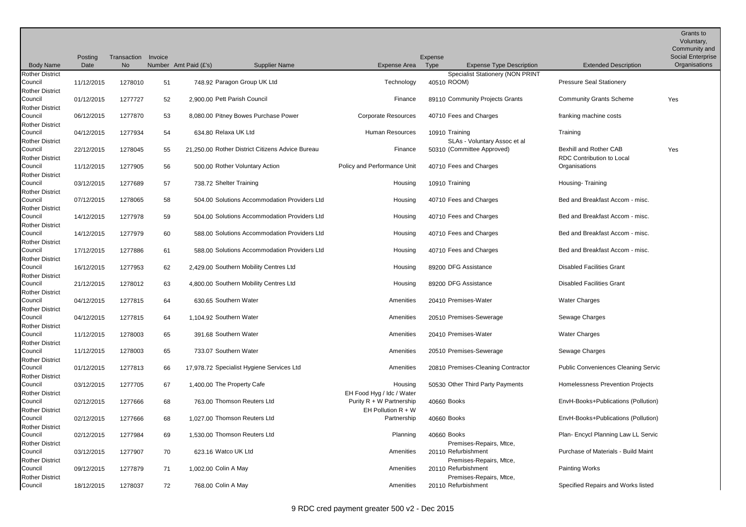|                                                             | Posting                  | Transaction<br>No  | Invoice  | Number Amt Paid (£'s)                          |                                                  |                                                       | Expense        |                                                                           | <b>Extended Description</b>                                       | Grants to<br>Voluntary,<br>Community and<br>Social Enterprise<br>Organisations |
|-------------------------------------------------------------|--------------------------|--------------------|----------|------------------------------------------------|--------------------------------------------------|-------------------------------------------------------|----------------|---------------------------------------------------------------------------|-------------------------------------------------------------------|--------------------------------------------------------------------------------|
| <b>Body Name</b>                                            | Date                     |                    |          |                                                | <b>Supplier Name</b>                             | Expense Area Type                                     |                | <b>Expense Type Description</b>                                           |                                                                   |                                                                                |
| <b>Rother District</b><br>Council<br><b>Rother District</b> | 11/12/2015               | 1278010            | 51       |                                                | 748.92 Paragon Group UK Ltd                      | Technology                                            | 40510 ROOM)    | <b>Specialist Stationery (NON PRINT</b>                                   | <b>Pressure Seal Stationery</b>                                   |                                                                                |
| Council<br><b>Rother District</b>                           | 01/12/2015               | 1277727            | 52       | 2,900.00 Pett Parish Council                   |                                                  | Finance                                               |                | 89110 Community Projects Grants                                           | <b>Community Grants Scheme</b>                                    | Yes                                                                            |
| Council<br><b>Rother District</b>                           | 06/12/2015               | 1277870            | 53       |                                                | 8,080.00 Pitney Bowes Purchase Power             | <b>Corporate Resources</b>                            |                | 40710 Fees and Charges                                                    | franking machine costs                                            |                                                                                |
| Council<br><b>Rother District</b>                           | 04/12/2015               | 1277934            | 54       | 634.80 Relaxa UK Ltd                           |                                                  | Human Resources                                       | 10910 Training | SLAs - Voluntary Assoc et al                                              | Training                                                          |                                                                                |
| Council<br><b>Rother District</b>                           | 22/12/2015               | 1278045            | 55       |                                                | 21.250.00 Rother District Citizens Advice Bureau | Finance                                               |                | 50310 (Committee Approved)                                                | <b>Bexhill and Rother CAB</b><br><b>RDC Contribution to Local</b> | Yes                                                                            |
| Council<br><b>Rother District</b>                           | 11/12/2015               | 1277905            | 56       |                                                | 500.00 Rother Voluntary Action                   | Policy and Performance Unit                           |                | 40710 Fees and Charges                                                    | Organisations                                                     |                                                                                |
| Council<br><b>Rother District</b>                           | 03/12/2015               | 1277689            | 57       | 738.72 Shelter Training                        |                                                  | Housing                                               | 10910 Training |                                                                           | Housing-Training                                                  |                                                                                |
| Council<br><b>Rother District</b>                           | 07/12/2015               | 1278065            | 58       |                                                | 504.00 Solutions Accommodation Providers Ltd     | Housing                                               |                | 40710 Fees and Charges                                                    | Bed and Breakfast Accom - misc.                                   |                                                                                |
| Council<br><b>Rother District</b>                           | 14/12/2015               | 1277978            | 59       |                                                | 504.00 Solutions Accommodation Providers Ltd     | Housing                                               |                | 40710 Fees and Charges                                                    | Bed and Breakfast Accom - misc.                                   |                                                                                |
| Council<br><b>Rother District</b>                           | 14/12/2015               | 1277979            | 60       |                                                | 588.00 Solutions Accommodation Providers Ltd     | Housing                                               |                | 40710 Fees and Charges                                                    | Bed and Breakfast Accom - misc.                                   |                                                                                |
| Council<br><b>Rother District</b>                           | 17/12/2015               | 1277886            | 61       |                                                | 588.00 Solutions Accommodation Providers Ltd     | Housing                                               |                | 40710 Fees and Charges                                                    | Bed and Breakfast Accom - misc.                                   |                                                                                |
| Council<br><b>Rother District</b>                           | 16/12/2015               | 1277953            | 62       |                                                | 2,429.00 Southern Mobility Centres Ltd           | Housing                                               |                | 89200 DFG Assistance                                                      | <b>Disabled Facilities Grant</b>                                  |                                                                                |
| Council<br><b>Rother District</b>                           | 21/12/2015               | 1278012            | 63       |                                                | 4,800.00 Southern Mobility Centres Ltd           | Housing                                               |                | 89200 DFG Assistance                                                      | <b>Disabled Facilities Grant</b>                                  |                                                                                |
| Council<br><b>Rother District</b>                           | 04/12/2015               | 1277815            | 64       | 630.65 Southern Water                          |                                                  | Amenities                                             |                | 20410 Premises-Water                                                      | <b>Water Charges</b>                                              |                                                                                |
| Council<br><b>Rother District</b>                           | 04/12/2015               | 1277815            | 64       | 1,104.92 Southern Water                        |                                                  | Amenities                                             |                | 20510 Premises-Sewerage                                                   | Sewage Charges<br><b>Water Charges</b>                            |                                                                                |
| Council<br><b>Rother District</b><br>Council                | 11/12/2015<br>11/12/2015 | 1278003<br>1278003 | 65<br>65 | 391.68 Southern Water<br>733.07 Southern Water |                                                  | Amenities<br>Amenities                                |                | 20410 Premises-Water<br>20510 Premises-Sewerage                           | Sewage Charges                                                    |                                                                                |
| <b>Rother District</b><br>Council                           | 01/12/2015               | 1277813            | 66       |                                                | 17,978.72 Specialist Hygiene Services Ltd        | Amenities                                             |                | 20810 Premises-Cleaning Contractor                                        | <b>Public Conveniences Cleaning Servic</b>                        |                                                                                |
| <b>Rother District</b><br>Council                           | 03/12/2015               | 1277705            | 67       | 1,400.00 The Property Cafe                     |                                                  | Housing                                               |                | 50530 Other Third Party Payments                                          | Homelessness Prevention Projects                                  |                                                                                |
| <b>Rother District</b><br>Council                           | 02/12/2015               | 1277666            | 68       |                                                | 763.00 Thomson Reuters Ltd                       | EH Food Hyg / Idc / Water<br>Purity R + W Partnership | 40660 Books    |                                                                           | EnvH-Books+Publications (Pollution)                               |                                                                                |
| <b>Rother District</b><br>Council                           | 02/12/2015               | 1277666            | 68       |                                                | 1,027.00 Thomson Reuters Ltd                     | EH Pollution $R + W$<br>Partnership                   | 40660 Books    |                                                                           | EnvH-Books+Publications (Pollution)                               |                                                                                |
| <b>Rother District</b><br>Council                           | 02/12/2015               | 1277984            | 69       |                                                | 1,530.00 Thomson Reuters Ltd                     | Planning                                              | 40660 Books    |                                                                           | Plan- Encycl Planning Law LL Servic                               |                                                                                |
| <b>Rother District</b><br>Council                           | 03/12/2015               | 1277907            | 70       | 623.16 Watco UK Ltd                            |                                                  | Amenities                                             |                | Premises-Repairs, Mtce,<br>20110 Refurbishment                            | Purchase of Materials - Build Maint                               |                                                                                |
| <b>Rother District</b><br>Council<br><b>Rother District</b> | 09/12/2015               | 1277879            | 71       | 1,002.00 Colin A May                           |                                                  | Amenities                                             |                | Premises-Repairs, Mtce,<br>20110 Refurbishment<br>Premises-Repairs, Mtce, | <b>Painting Works</b>                                             |                                                                                |
| Council                                                     | 18/12/2015               | 1278037            | 72       | 768.00 Colin A May                             |                                                  | Amenities                                             |                | 20110 Refurbishment                                                       | Specified Repairs and Works listed                                |                                                                                |